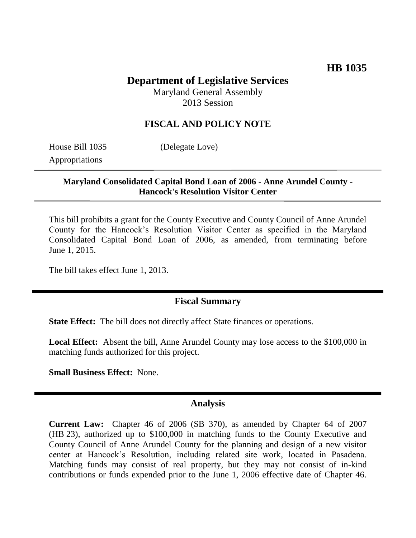# **Department of Legislative Services**

Maryland General Assembly 2013 Session

### **FISCAL AND POLICY NOTE**

House Bill 1035 (Delegate Love) Appropriations

#### **Maryland Consolidated Capital Bond Loan of 2006 - Anne Arundel County - Hancock's Resolution Visitor Center**

This bill prohibits a grant for the County Executive and County Council of Anne Arundel County for the Hancock's Resolution Visitor Center as specified in the Maryland Consolidated Capital Bond Loan of 2006, as amended, from terminating before June 1, 2015.

The bill takes effect June 1, 2013.

#### **Fiscal Summary**

**State Effect:** The bill does not directly affect State finances or operations.

**Local Effect:** Absent the bill, Anne Arundel County may lose access to the \$100,000 in matching funds authorized for this project.

**Small Business Effect:** None.

#### **Analysis**

**Current Law:** Chapter 46 of 2006 (SB 370), as amended by Chapter 64 of 2007 (HB 23), authorized up to \$100,000 in matching funds to the County Executive and County Council of Anne Arundel County for the planning and design of a new visitor center at Hancock's Resolution, including related site work, located in Pasadena. Matching funds may consist of real property, but they may not consist of in-kind contributions or funds expended prior to the June 1, 2006 effective date of Chapter 46.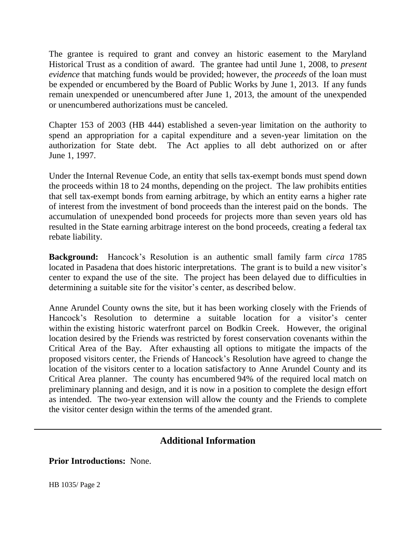The grantee is required to grant and convey an historic easement to the Maryland Historical Trust as a condition of award. The grantee had until June 1, 2008, to *present evidence* that matching funds would be provided; however, the *proceeds* of the loan must be expended or encumbered by the Board of Public Works by June 1, 2013. If any funds remain unexpended or unencumbered after June 1, 2013, the amount of the unexpended or unencumbered authorizations must be canceled.

Chapter 153 of 2003 (HB 444) established a seven-year limitation on the authority to spend an appropriation for a capital expenditure and a seven-year limitation on the authorization for State debt. The Act applies to all debt authorized on or after June 1, 1997.

Under the Internal Revenue Code, an entity that sells tax-exempt bonds must spend down the proceeds within 18 to 24 months, depending on the project. The law prohibits entities that sell tax-exempt bonds from earning arbitrage, by which an entity earns a higher rate of interest from the investment of bond proceeds than the interest paid on the bonds. The accumulation of unexpended bond proceeds for projects more than seven years old has resulted in the State earning arbitrage interest on the bond proceeds, creating a federal tax rebate liability.

**Background:** Hancock's Resolution is an authentic small family farm *circa* 1785 located in Pasadena that does historic interpretations. The grant is to build a new visitor's center to expand the use of the site. The project has been delayed due to difficulties in determining a suitable site for the visitor's center, as described below.

Anne Arundel County owns the site, but it has been working closely with the Friends of Hancock's Resolution to determine a suitable location for a visitor's center within the existing historic waterfront parcel on Bodkin Creek. However, the original location desired by the Friends was restricted by forest conservation covenants within the Critical Area of the Bay. After exhausting all options to mitigate the impacts of the proposed visitors center, the Friends of Hancock's Resolution have agreed to change the location of the visitors center to a location satisfactory to Anne Arundel County and its Critical Area planner. The county has encumbered 94% of the required local match on preliminary planning and design, and it is now in a position to complete the design effort as intended. The two-year extension will allow the county and the Friends to complete the visitor center design within the terms of the amended grant.

## **Additional Information**

**Prior Introductions:** None.